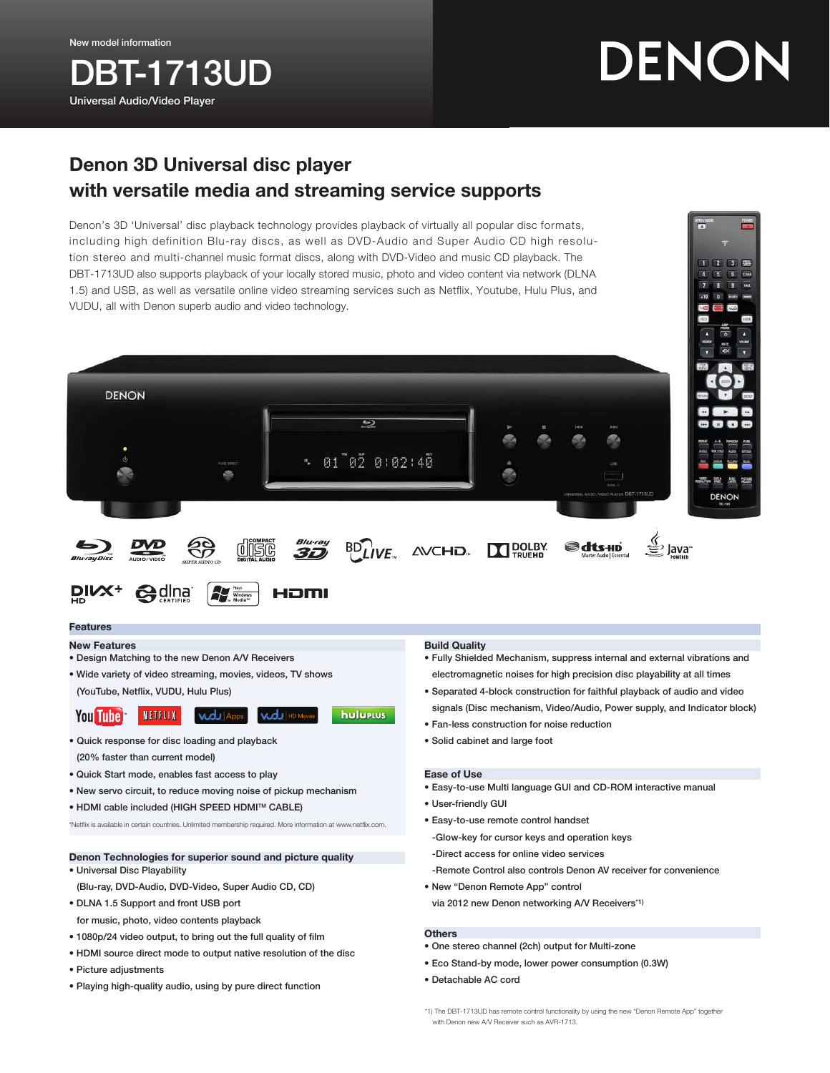New model information

# **BT-1713UD** Universal Audio/Video Player

# DENON

3 mog

## Denon 3D Universal disc player with versatile media and streaming service supports

Denon's 3D 'Universal' disc playback technology provides playback of virtually all popular disc formats, including high definition Blu-ray discs, as well as DVD-Audio and Super Audio CD high resolution stereo and multi-channel music format discs, along with DVD-Video and music CD playback. The DBT-1713UD also supports playback of your locally stored music, photo and video content via network (DLNA 1.5) and USB, as well as versatile online video streaming services such as Netflix, Youtube, Hulu Plus, and VUDU, all with Denon superb audio and video technology.



### Features

- New Features
- Design Matching to the new Denon A/V Receivers
- Wide variety of video streaming, movies, videos, TV shows (YouTube, Netflix, VUDU, Hulu Plus)

- Quick response for disc loading and playback (20% faster than current model)
- Quick Start mode, enables fast access to play
- New servo circuit, to reduce moving noise of pickup mechanism
- HDMI cable included (HIGH SPEED HDMITM CABLE)

\*Netflix is available in certain countries. Unlimited membership required. More information at www.netflix.com.

### Denon Technologies for superior sound and picture quality • Universal Disc Playability

- (Blu-ray, DVD-Audio, DVD-Video, Super Audio CD, CD)
- DLNA 1.5 Support and front USB port for music, photo, video contents playback
- 1080p/24 video output, to bring out the full quality of film
- HDMI source direct mode to output native resolution of the disc
- Picture adjustments
- Playing high-quality audio, using by pure direct function

### Build Quality

- Fully Shielded Mechanism, suppress internal and external vibrations and electromagnetic noises for high precision disc playability at all times
- Separated 4-block construction for faithful playback of audio and video signals (Disc mechanism, Video/Audio, Power supply, and Indicator block)
- Fan-less construction for noise reduction
- Solid cabinet and large foot

### Ease of Use

- Easy-to-use Multi language GUI and CD-ROM interactive manual
- User-friendly GUI
- Easy-to-use remote control handset
- -Glow-key for cursor keys and operation keys

-Direct access for online video services

- -Remote Control also controls Denon AV receiver for convenience
- New "Denon Remote App" control
- via 2012 new Denon networking A/V Receivers\*1)

### **Others**

- One stereo channel (2ch) output for Multi-zone
- Eco Stand-by mode, lower power consumption (0.3W)
- Detachable AC cord

\*1) The DBT-1713UD has remote control functionality by using the new "Denon Remote App" together with Denon new A/V Receiver such as AVR-1713.